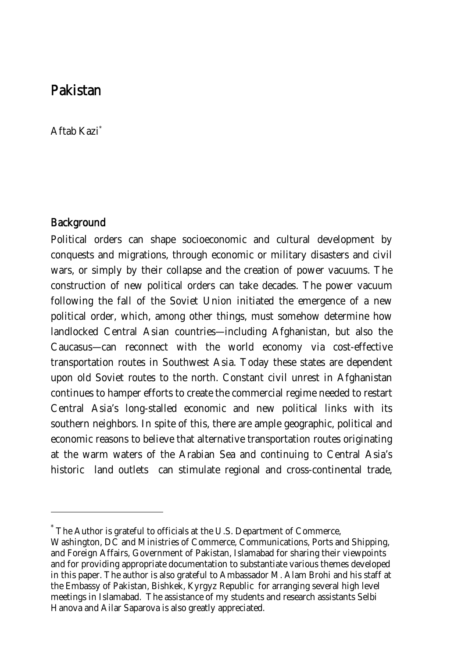# Pakistan

Aftab Kazi\*

#### **Background**

 $\overline{a}$ 

Political orders can shape socioeconomic and cultural development by conquests and migrations, through economic or military disasters and civil wars, or simply by their collapse and the creation of power vacuums. The construction of new political orders can take decades. The power vacuum following the fall of the Soviet Union initiated the emergence of a new political order, which, among other things, must somehow determine how landlocked Central Asian countries—including Afghanistan, but also the Caucasus—can reconnect with the world economy via cost-effective transportation routes in Southwest Asia. Today these states are dependent upon old Soviet routes to the north. Constant civil unrest in Afghanistan continues to hamper efforts to create the commercial regime needed to restart Central Asia's long-stalled economic and new political links with its southern neighbors. In spite of this, there are ample geographic, political and economic reasons to believe that alternative transportation routes originating at the warm waters of the Arabian Sea and continuing to Central Asia's historic land outlets can stimulate regional and cross-continental trade,

<sup>\*</sup> The Author is grateful to officials at the U.S. Department of Commerce,

Washington, DC and Ministries of Commerce, Communications, Ports and Shipping, and Foreign Affairs, Government of Pakistan, Islamabad for sharing their viewpoints and for providing appropriate documentation to substantiate various themes developed in this paper. The author is also grateful to Ambassador M. Alam Brohi and his staff at the Embassy of Pakistan, Bishkek, Kyrgyz Republic for arranging several high level meetings in Islamabad. The assistance of my students and research assistants Selbi Hanova and Ailar Saparova is also greatly appreciated.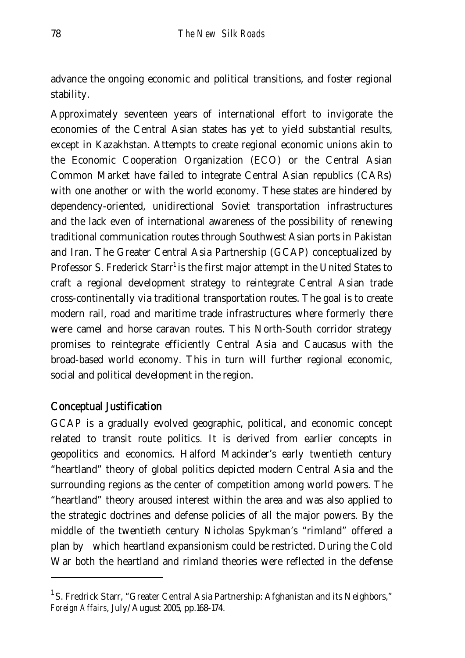advance the ongoing economic and political transitions, and foster regional stability.

Approximately seventeen years of international effort to invigorate the economies of the Central Asian states has yet to yield substantial results, except in Kazakhstan. Attempts to create regional economic unions akin to the Economic Cooperation Organization (ECO) or the Central Asian Common Market have failed to integrate Central Asian republics (CARs) with one another or with the world economy. These states are hindered by dependency-oriented, unidirectional Soviet transportation infrastructures and the lack even of international awareness of the possibility of renewing traditional communication routes through Southwest Asian ports in Pakistan and Iran. The Greater Central Asia Partnership (GCAP) conceptualized by Professor S. Frederick Starr<sup>1</sup> is the first major attempt in the United States to craft a regional development strategy to reintegrate Central Asian trade cross-continentally via traditional transportation routes. The goal is to create modern rail, road and maritime trade infrastructures where formerly there were camel and horse caravan routes. This North-South corridor strategy promises to reintegrate efficiently Central Asia and Caucasus with the broad-based world economy. This in turn will further regional economic, social and political development in the region.

#### Conceptual Justification

 $\overline{a}$ 

GCAP is a gradually evolved geographic, political, and economic concept related to transit route politics. It is derived from earlier concepts in geopolitics and economics. Halford Mackinder's early twentieth century "heartland" theory of global politics depicted modern Central Asia and the surrounding regions as the center of competition among world powers. The "heartland" theory aroused interest within the area and was also applied to the strategic doctrines and defense policies of all the major powers. By the middle of the twentieth century Nicholas Spykman's "rimland" offered a plan by which heartland expansionism could be restricted. During the Cold War both the heartland and rimland theories were reflected in the defense

 $^{\rm 1}$  S. Fredrick Starr, "Greater Central Asia Partnership: Afghanistan and its Neighbors," *Foreign Affairs*, July/August 2005, pp.168-174.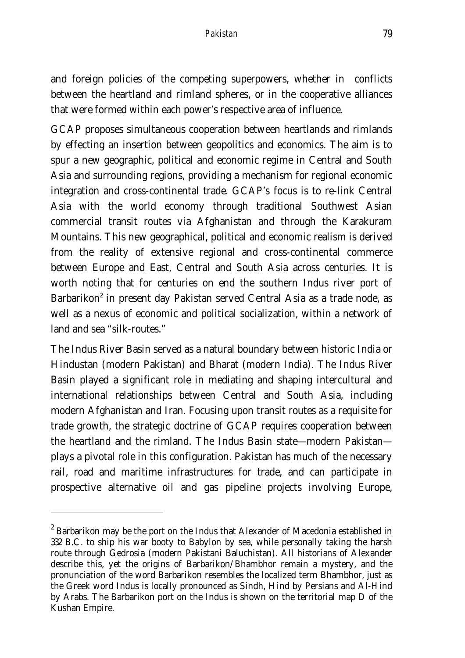and foreign policies of the competing superpowers, whether in conflicts between the heartland and rimland spheres, or in the cooperative alliances that were formed within each power's respective area of influence.

GCAP proposes simultaneous cooperation between heartlands and rimlands by effecting an insertion between geopolitics and economics. The aim is to spur a new geographic, political and economic regime in Central and South Asia and surrounding regions, providing a mechanism for regional economic integration and cross-continental trade. GCAP's focus is to re-link Central Asia with the world economy through traditional Southwest Asian commercial transit routes via Afghanistan and through the Karakuram Mountains. This new geographical, political and economic realism is derived from the reality of extensive regional and cross-continental commerce between Europe and East, Central and South Asia across centuries. It is worth noting that for centuries on end the southern Indus river port of Barbarikon<sup>2</sup> in present day Pakistan served Central Asia as a trade node, as well as a nexus of economic and political socialization, within a network of land and sea "silk-routes."

The Indus River Basin served as a natural boundary between historic India or Hindustan (modern Pakistan) and Bharat (modern India). The Indus River Basin played a significant role in mediating and shaping intercultural and international relationships between Central and South Asia, including modern Afghanistan and Iran. Focusing upon transit routes as a requisite for trade growth, the strategic doctrine of GCAP requires cooperation between the heartland and the rimland. The Indus Basin state—modern Pakistan plays a pivotal role in this configuration. Pakistan has much of the necessary rail, road and maritime infrastructures for trade, and can participate in prospective alternative oil and gas pipeline projects involving Europe,

 $^{\rm 2}$  Barbarikon may be the port on the Indus that Alexander of Macedonia established in 332 B.C. to ship his war booty to Babylon by sea, while personally taking the harsh route through Gedrosia (modern Pakistani Baluchistan). All historians of Alexander describe this, yet the origins of Barbarikon/Bhambhor remain a mystery, and the pronunciation of the word Barbarikon resembles the localized term Bhambhor, just as the Greek word Indus is locally pronounced as Sindh, Hind by Persians and Al-Hind by Arabs. The Barbarikon port on the Indus is shown on the territorial map D of the Kushan Empire.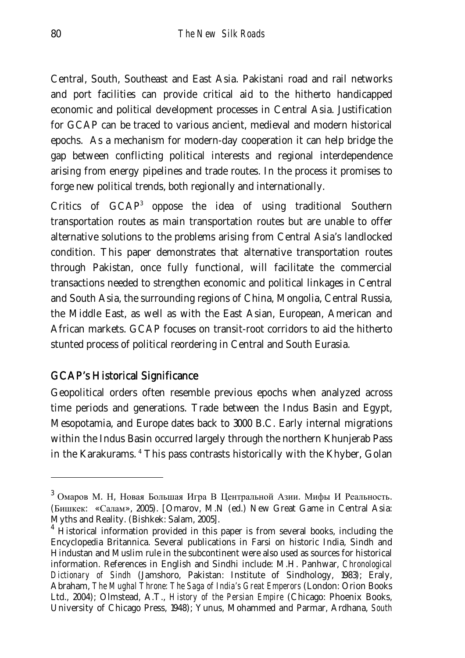Central, South, Southeast and East Asia. Pakistani road and rail networks and port facilities can provide critical aid to the hitherto handicapped economic and political development processes in Central Asia. Justification for GCAP can be traced to various ancient, medieval and modern historical epochs. As a mechanism for modern-day cooperation it can help bridge the gap between conflicting political interests and regional interdependence arising from energy pipelines and trade routes. In the process it promises to forge new political trends, both regionally and internationally.

Critics of GCAP<sup>3</sup> oppose the idea of using traditional Southern transportation routes as main transportation routes but are unable to offer alternative solutions to the problems arising from Central Asia's landlocked condition. This paper demonstrates that alternative transportation routes through Pakistan, once fully functional, will facilitate the commercial transactions needed to strengthen economic and political linkages in Central and South Asia, the surrounding regions of China, Mongolia, Central Russia, the Middle East, as well as with the East Asian, European, American and African markets. GCAP focuses on transit-root corridors to aid the hitherto stunted process of political reordering in Central and South Eurasia.

#### GCAP's Historical Significance

 $\overline{a}$ 

Geopolitical orders often resemble previous epochs when analyzed across time periods and generations. Trade between the Indus Basin and Egypt, Mesopotamia, and Europe dates back to 3000 B.C. Early internal migrations within the Indus Basin occurred largely through the northern Khunjerab Pass in the Karakurams. 4 This pass contrasts historically with the Khyber, Golan

<sup>3</sup> Омаров М. Н, Новая Большая Игра В Центральной Азии. Мифы И Реальность. (Бишкек: «Салам», 2005). [Omarov, M.N (ed.) New Great Game in Central Asia: Myths and Reality. (Bishkek: Salam, 2005].

<sup>&</sup>lt;sup>4</sup> Historical information provided in this paper is from several books, including the Encyclopedia Britannica. Several publications in Farsi on historic India, Sindh and Hindustan and Muslim rule in the subcontinent were also used as sources for historical information. References in English and Sindhi include: M.H. Panhwar, *Chronological Dictionary of Sindh* (Jamshoro, Pakistan: Institute of Sindhology, 1983); Eraly, Abraham, *The Mughal Throne: The Saga of India's Great Emperors* (London: Orion Books Ltd., 2004); Olmstead, A.T., *History of the Persian Empire* (Chicago: Phoenix Books, University of Chicago Press, 1948); Yunus, Mohammed and Parmar, Ardhana, *South*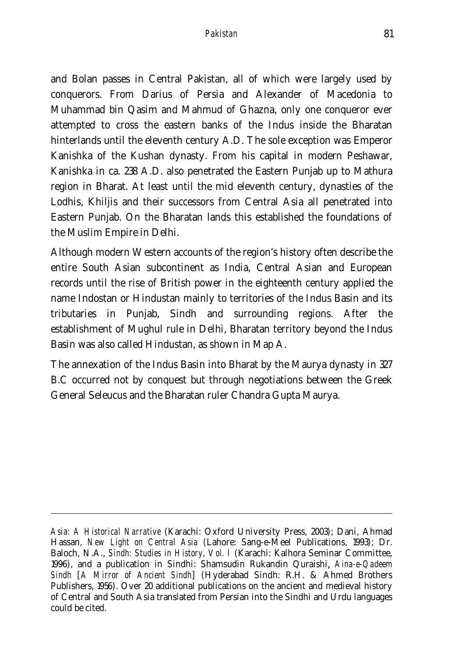and Bolan passes in Central Pakistan, all of which were largely used by conquerors. From Darius of Persia and Alexander of Macedonia to Muhammad bin Qasim and Mahmud of Ghazna, only one conqueror ever attempted to cross the eastern banks of the Indus inside the Bharatan hinterlands until the eleventh century A.D. The sole exception was Emperor Kanishka of the Kushan dynasty. From his capital in modern Peshawar, Kanishka in ca. 238 A.D. also penetrated the Eastern Punjab up to Mathura region in Bharat. At least until the mid eleventh century, dynasties of the Lodhis, Khiljis and their successors from Central Asia all penetrated into Eastern Punjab. On the Bharatan lands this established the foundations of the Muslim Empire in Delhi.

Although modern Western accounts of the region's history often describe the entire South Asian subcontinent as India, Central Asian and European records until the rise of British power in the eighteenth century applied the name Indostan or Hindustan mainly to territories of the Indus Basin and its tributaries in Punjab, Sindh and surrounding regions. After the establishment of Mughul rule in Delhi, Bharatan territory beyond the Indus Basin was also called Hindustan, as shown in Map A.

The annexation of the Indus Basin into Bharat by the Maurya dynasty in 327 B.C occurred not by conquest but through negotiations between the Greek General Seleucus and the Bharatan ruler Chandra Gupta Maurya.

*Asia: A Historical Narrative* (Karachi: Oxford University Press, 2003); Dani, Ahmad Hassan, *New Light on Central Asia* (Lahore: Sang-e-Meel Publications, 1993); Dr. Baloch, N.A., *Sindh: Studies in History, Vol. I* (Karachi: Kalhora Seminar Committee, 1996), and a publication in Sindhi: Shamsudin Rukandin Quraishi, *Aina-e-Qadeem Sindh* [*A Mirror of Ancient Sindh*] (Hyderabad Sindh: R.H. & Ahmed Brothers Publishers, 1956). Over 20 additional publications on the ancient and medieval history of Central and South Asia translated from Persian into the Sindhi and Urdu languages could be cited.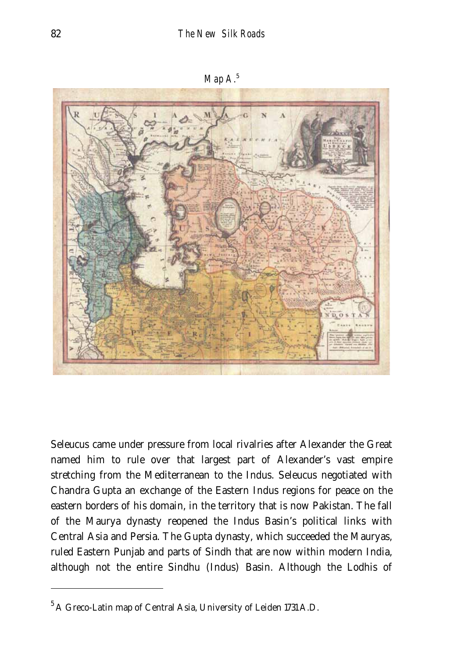$\overline{a}$ 





Seleucus came under pressure from local rivalries after Alexander the Great named him to rule over that largest part of Alexander's vast empire stretching from the Mediterranean to the Indus. Seleucus negotiated with Chandra Gupta an exchange of the Eastern Indus regions for peace on the eastern borders of his domain, in the territory that is now Pakistan. The fall of the Maurya dynasty reopened the Indus Basin's political links with Central Asia and Persia. The Gupta dynasty, which succeeded the Mauryas, ruled Eastern Punjab and parts of Sindh that are now within modern India, although not the entire Sindhu (Indus) Basin. Although the Lodhis of

 $^5$  A Greco-Latin map of Central Asia, University of Leiden 1731 A.D.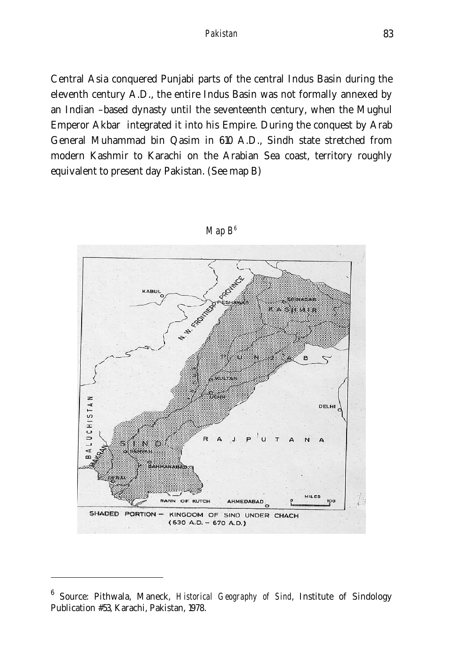#### *Pakistan* 83

Central Asia conquered Punjabi parts of the central Indus Basin during the eleventh century A.D., the entire Indus Basin was not formally annexed by an Indian –based dynasty until the seventeenth century, when the Mughul Emperor Akbar integrated it into his Empire. During the conquest by Arab General Muhammad bin Qasim in 610 A.D., Sindh state stretched from modern Kashmir to Karachi on the Arabian Sea coast, territory roughly equivalent to present day Pakistan. (See map B)



6 Source: Pithwala, Maneck, *Historical Geography of Sind*, Institute of Sindology Publication #53, Karachi, Pakistan, 1978.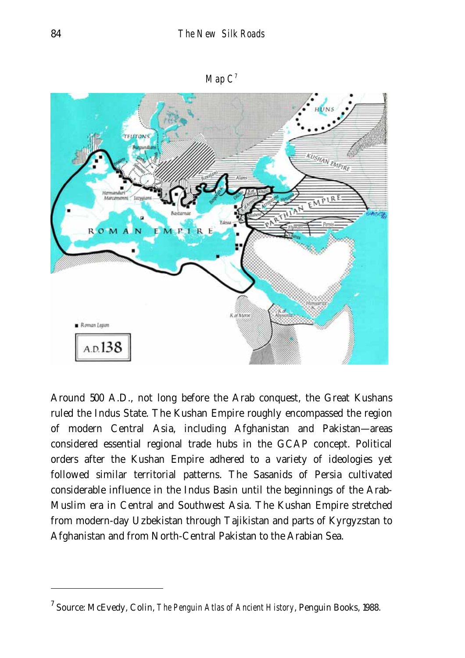



Around 500 A.D., not long before the Arab conquest, the Great Kushans ruled the Indus State. The Kushan Empire roughly encompassed the region of modern Central Asia, including Afghanistan and Pakistan—areas considered essential regional trade hubs in the GCAP concept. Political orders after the Kushan Empire adhered to a variety of ideologies yet followed similar territorial patterns. The Sasanids of Persia cultivated considerable influence in the Indus Basin until the beginnings of the Arab-Muslim era in Central and Southwest Asia. The Kushan Empire stretched from modern-day Uzbekistan through Tajikistan and parts of Kyrgyzstan to Afghanistan and from North-Central Pakistan to the Arabian Sea.

<sup>7</sup> Source: McEvedy, Colin, *The Penguin Atlas of Ancient History*, Penguin Books, 1988.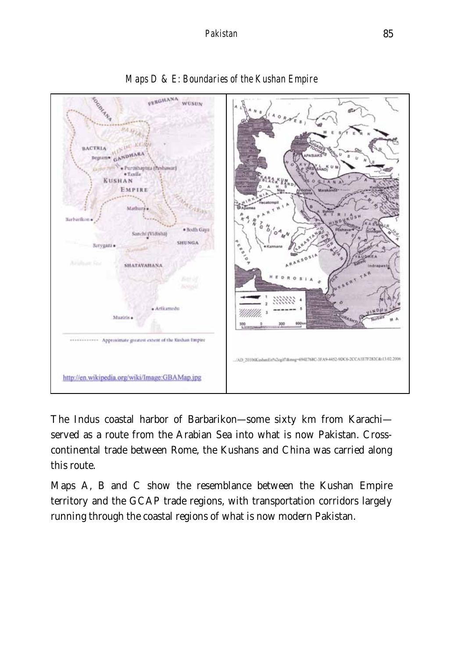

*Maps D & E: Boundaries of the Kushan Empire* 

The Indus coastal harbor of Barbarikon—some sixty km from Karachi served as a route from the Arabian Sea into what is now Pakistan. Crosscontinental trade between Rome, the Kushans and China was carried along this route.

Maps A, B and C show the resemblance between the Kushan Empire territory and the GCAP trade regions, with transportation corridors largely running through the coastal regions of what is now modern Pakistan.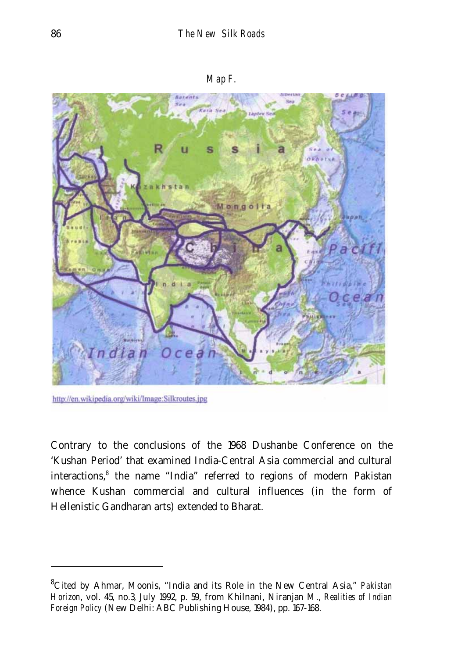

*Map F.* 

http://en.wikipedia.org/wiki/Image:Silkroutes.jpg

idian

Осе

Contrary to the conclusions of the 1968 Dushanbe Conference on the 'Kushan Period' that examined India-Central Asia commercial and cultural interactions,<sup>8</sup> the name "India" referred to regions of modern Pakistan whence Kushan commercial and cultural influences (in the form of Hellenistic Gandharan arts) extended to Bharat.

<sup>8</sup> Cited by Ahmar, Moonis, "India and its Role in the New Central Asia," *Pakistan Horizon*, vol. 45, no.3, July 1992, p. 59, from Khilnani, Niranjan M., *Realities of Indian Foreign Policy* (New Delhi: ABC Publishing House, 1984), pp. 167-168.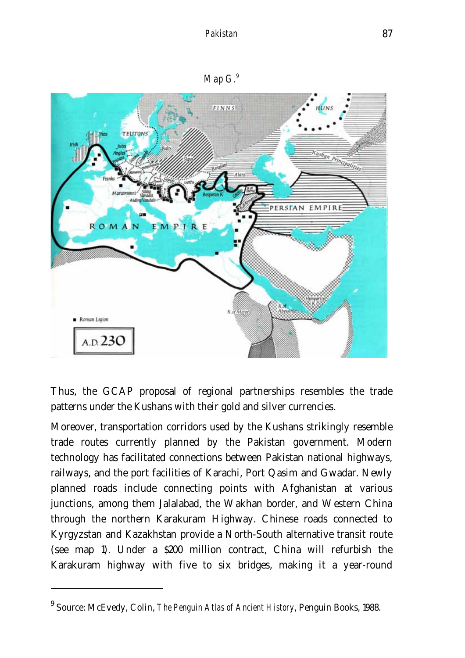



Thus, the GCAP proposal of regional partnerships resembles the trade patterns under the Kushans with their gold and silver currencies.

Moreover, transportation corridors used by the Kushans strikingly resemble trade routes currently planned by the Pakistan government. Modern technology has facilitated connections between Pakistan national highways, railways, and the port facilities of Karachi, Port Qasim and Gwadar. Newly planned roads include connecting points with Afghanistan at various junctions, among them Jalalabad, the Wakhan border, and Western China through the northern Karakuram Highway. Chinese roads connected to Kyrgyzstan and Kazakhstan provide a North-South alternative transit route (see map 1). Under a \$200 million contract, China will refurbish the Karakuram highway with five to six bridges, making it a year-round

<sup>9</sup> Source: McEvedy, Colin, *The Penguin Atlas of Ancient History*, Penguin Books, 1988.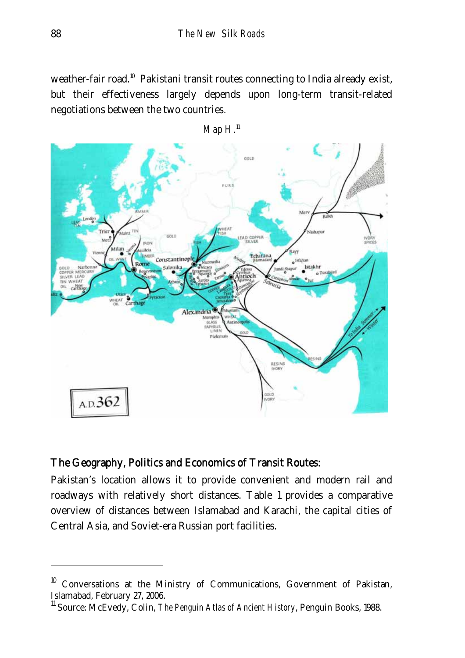weather-fair road.<sup>10</sup> Pakistani transit routes connecting to India already exist, but their effectiveness largely depends upon long-term transit-related negotiations between the two countries.



*Map H.11*

#### The Geography, Politics and Economics of Transit Routes:

Pakistan's location allows it to provide convenient and modern rail and roadways with relatively short distances. Table 1 provides a comparative overview of distances between Islamabad and Karachi, the capital cities of Central Asia, and Soviet-era Russian port facilities.

<sup>&</sup>lt;sup>10</sup> Conversations at the Ministry of Communications, Government of Pakistan, Islamabad, February 27, 2006.

<sup>11</sup> Source: McEvedy, Colin, *The Penguin Atlas of Ancient History*, Penguin Books, 1988.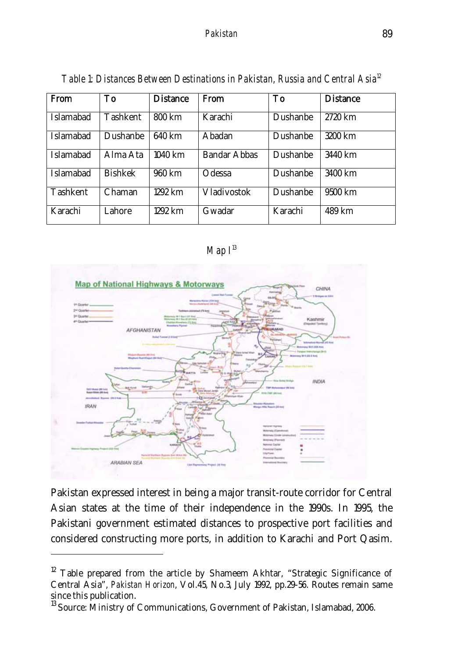| From            | To              | <b>Distance</b> | From                | To       | <b>Distance</b> |
|-----------------|-----------------|-----------------|---------------------|----------|-----------------|
| Islamabad       | <b>Tashkent</b> | 800 km          | Karachi             | Dushanbe | 2720 km         |
| Islamabad       | Dushanbe        | 640 km          | Abadan              | Dushanbe | 3200 km         |
| Islamabad       | Alma Ata        | 1040 km         | <b>Bandar Abbas</b> | Dushanbe | 3440 km         |
| Islamabad       | <b>Bishkek</b>  | 960 km          | Odessa              | Dushanbe | 3400 km         |
| <b>Tashkent</b> | Chaman          | 1292 km         | <b>Vladivostok</b>  | Dushanbe | 9500 km         |
| Karachi         | Lahore          | 1292 km         | Gwadar              | Karachi  | 489 km          |

Table 1: Distances Between Destinations in Pakistan, Russia and Central Asia<sup>12</sup>

*Map*  $I^3$ 



Pakistan expressed interest in being a major transit-route corridor for Central Asian states at the time of their independence in the 1990s. In 1995, the Pakistani government estimated distances to prospective port facilities and considered constructing more ports, in addition to Karachi and Port Qasim.

<sup>&</sup>lt;sup>12</sup> Table prepared from the article by Shameem Akhtar, "Strategic Significance of Central Asia", *Pakistan Horizon*, Vol.45, No.3, July 1992, pp.29-56. Routes remain same since this publication.

<sup>&</sup>lt;sup>13</sup> Source: Ministry of Communications, Government of Pakistan, Islamabad, 2006.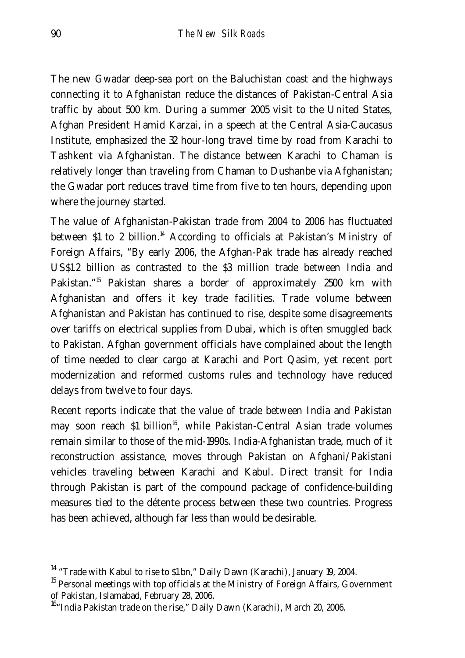The new Gwadar deep-sea port on the Baluchistan coast and the highways connecting it to Afghanistan reduce the distances of Pakistan-Central Asia traffic by about 500 km. During a summer 2005 visit to the United States, Afghan President Hamid Karzai, in a speech at the Central Asia-Caucasus Institute, emphasized the 32 hour-long travel time by road from Karachi to Tashkent via Afghanistan. The distance between Karachi to Chaman is relatively longer than traveling from Chaman to Dushanbe via Afghanistan; the Gwadar port reduces travel time from five to ten hours, depending upon where the journey started.

The value of Afghanistan-Pakistan trade from 2004 to 2006 has fluctuated between \$1 to 2 billion.<sup>14</sup> According to officials at Pakistan's Ministry of Foreign Affairs, "By early 2006, the Afghan-Pak trade has already reached US\$1.2 billion as contrasted to the \$3 million trade between India and Pakistan."15 Pakistan shares a border of approximately 2500 km with Afghanistan and offers it key trade facilities. Trade volume between Afghanistan and Pakistan has continued to rise, despite some disagreements over tariffs on electrical supplies from Dubai, which is often smuggled back to Pakistan. Afghan government officials have complained about the length of time needed to clear cargo at Karachi and Port Qasim, yet recent port modernization and reformed customs rules and technology have reduced delays from twelve to four days.

Recent reports indicate that the value of trade between India and Pakistan may soon reach \$1 billion<sup>16</sup>, while Pakistan-Central Asian trade volumes remain similar to those of the mid-1990s. India-Afghanistan trade, much of it reconstruction assistance, moves through Pakistan on Afghani/Pakistani vehicles traveling between Karachi and Kabul. Direct transit for India through Pakistan is part of the compound package of confidence-building measures tied to the détente process between these two countries. Progress has been achieved, although far less than would be desirable.

<sup>&</sup>lt;sup>14</sup> "Trade with Kabul to rise to \$1 bn," Daily Dawn (Karachi), January 19, 2004.

<sup>&</sup>lt;sup>15</sup> Personal meetings with top officials at the Ministry of Foreign Affairs, Government of Pakistan, Islamabad, February 28, 2006.

<sup>&</sup>lt;sup>16</sup>"India Pakistan trade on the rise," Daily Dawn (Karachi), March 20, 2006.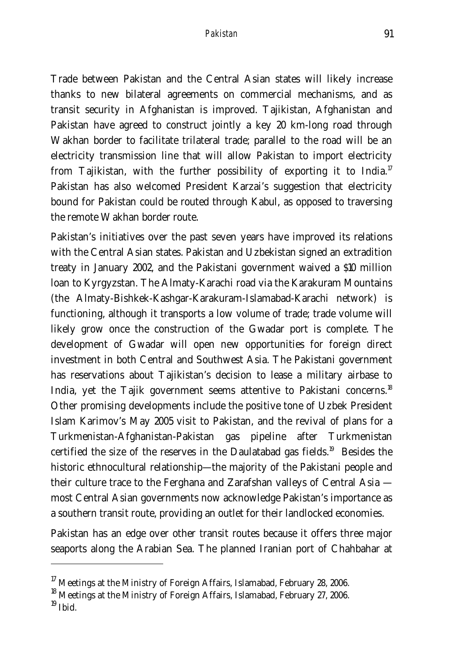#### *Pakistan* 91

Trade between Pakistan and the Central Asian states will likely increase thanks to new bilateral agreements on commercial mechanisms, and as transit security in Afghanistan is improved. Tajikistan, Afghanistan and Pakistan have agreed to construct jointly a key 20 km-long road through Wakhan border to facilitate trilateral trade; parallel to the road will be an electricity transmission line that will allow Pakistan to import electricity from Tajikistan, with the further possibility of exporting it to India.<sup>17</sup> Pakistan has also welcomed President Karzai's suggestion that electricity bound for Pakistan could be routed through Kabul, as opposed to traversing the remote Wakhan border route.

Pakistan's initiatives over the past seven years have improved its relations with the Central Asian states. Pakistan and Uzbekistan signed an extradition treaty in January 2002, and the Pakistani government waived a \$10 million loan to Kyrgyzstan. The Almaty-Karachi road via the Karakuram Mountains (the Almaty-Bishkek-Kashgar-Karakuram-Islamabad-Karachi network) is functioning, although it transports a low volume of trade; trade volume will likely grow once the construction of the Gwadar port is complete. The development of Gwadar will open new opportunities for foreign direct investment in both Central and Southwest Asia. The Pakistani government has reservations about Tajikistan's decision to lease a military airbase to India, yet the Tajik government seems attentive to Pakistani concerns.<sup>18</sup> Other promising developments include the positive tone of Uzbek President Islam Karimov's May 2005 visit to Pakistan, and the revival of plans for a Turkmenistan-Afghanistan-Pakistan gas pipeline after Turkmenistan certified the size of the reserves in the Daulatabad gas fields.<sup>19</sup> Besides the historic ethnocultural relationship—the majority of the Pakistani people and their culture trace to the Ferghana and Zarafshan valleys of Central Asia most Central Asian governments now acknowledge Pakistan's importance as a southern transit route, providing an outlet for their landlocked economies.

Pakistan has an edge over other transit routes because it offers three major seaports along the Arabian Sea. The planned Iranian port of Chahbahar at

 $19$  Ibid.

<sup>&</sup>lt;sup>17</sup> Meetings at the Ministry of Foreign Affairs, Islamabad, February 28, 2006.

<sup>18</sup> Meetings at the Ministry of Foreign Affairs, Islamabad, February 27, 2006.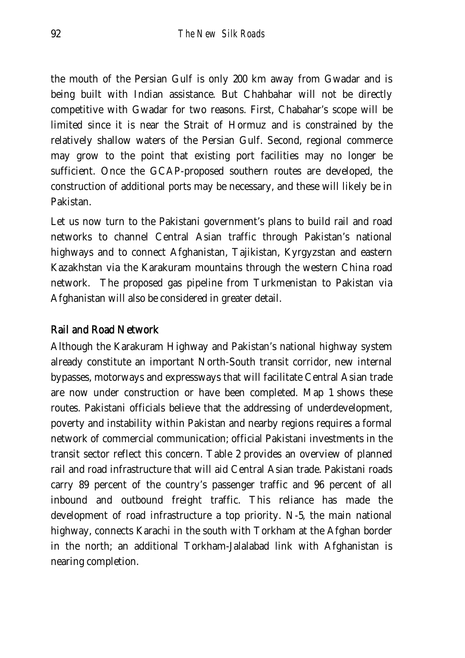the mouth of the Persian Gulf is only 200 km away from Gwadar and is being built with Indian assistance. But Chahbahar will not be directly competitive with Gwadar for two reasons. First, Chabahar's scope will be limited since it is near the Strait of Hormuz and is constrained by the relatively shallow waters of the Persian Gulf. Second, regional commerce may grow to the point that existing port facilities may no longer be sufficient. Once the GCAP-proposed southern routes are developed, the construction of additional ports may be necessary, and these will likely be in Pakistan.

Let us now turn to the Pakistani government's plans to build rail and road networks to channel Central Asian traffic through Pakistan's national highways and to connect Afghanistan, Tajikistan, Kyrgyzstan and eastern Kazakhstan via the Karakuram mountains through the western China road network. The proposed gas pipeline from Turkmenistan to Pakistan via Afghanistan will also be considered in greater detail.

#### Rail and Road Network

Although the Karakuram Highway and Pakistan's national highway system already constitute an important North-South transit corridor, new internal bypasses, motorways and expressways that will facilitate Central Asian trade are now under construction or have been completed. Map 1 shows these routes. Pakistani officials believe that the addressing of underdevelopment, poverty and instability within Pakistan and nearby regions requires a formal network of commercial communication; official Pakistani investments in the transit sector reflect this concern. Table 2 provides an overview of planned rail and road infrastructure that will aid Central Asian trade. Pakistani roads carry 89 percent of the country's passenger traffic and 96 percent of all inbound and outbound freight traffic. This reliance has made the development of road infrastructure a top priority. N-5, the main national highway, connects Karachi in the south with Torkham at the Afghan border in the north; an additional Torkham-Jalalabad link with Afghanistan is nearing completion.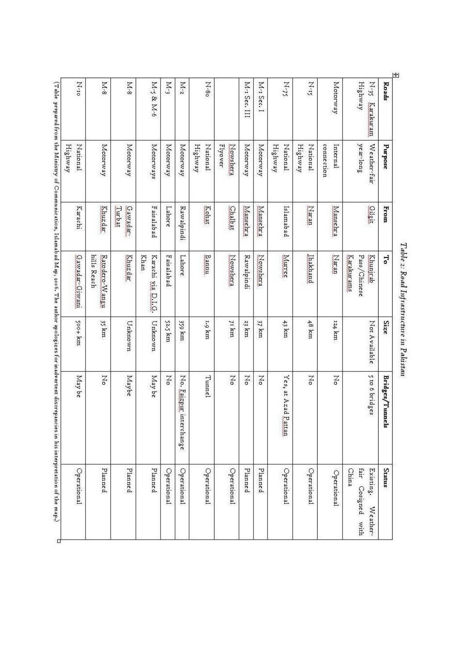| Ħ<br>Roads                   | Purpose                    | Frem               | To                             | Size          | Bridges/Tunne<br>5       | Status                                                       |
|------------------------------|----------------------------|--------------------|--------------------------------|---------------|--------------------------|--------------------------------------------------------------|
| Highway<br>$N-35$<br>mempery | year-long<br>We ather-fair | Cilsit             | Pass/Chinese<br>Khunirab       | Not Available | 5 to 6 bridges           | fair Cosigned with<br>Existing.<br><b>China</b><br>We ather- |
| Motorway                     | Internal                   | Mansehra           | ürlük<br>Karakurams            | 124 km        | Σe                       | Operational                                                  |
|                              | connection                 |                    |                                |               |                          |                                                              |
| $\rm{N\cdot1}$               | National                   | men                | Ihakhand                       | $48$ km       | Σ                        | Operational                                                  |
|                              | Highway                    |                    |                                |               |                          |                                                              |
| $N-75$                       | National<br>$\rm Highway$  | Islamabad          | Murree                         | $43$ km       | Yes, at Azad Pa<br>train | Operational                                                  |
| M-1 Sec. I                   | Motorway                   | Mansehra           | Nowshera                       | $\rm 37~km$   | Σ                        | Planned                                                      |
| Mrs Sec. III                 | Motorway                   | Mansehra           | Rawalpindi                     | 23 km         | Σρ                       | Planned                                                      |
|                              | Flyover<br>Nowshere        | Chalbat            | Nowshere                       | 71 km         | Σ                        | Operational                                                  |
| $_{\rm N\mbox{-}8\mbox{-}}$  | National<br>$\rm Highway$  | Kohat              | Bannu                          | 1.9 km        | Tunnel                   | Operational                                                  |
| $M-2$                        | Motorway                   | Rawalpindi         | Lahore                         | 359 km        | No. Faizpur interchange  | Operational                                                  |
| $M_{-3}$                     | Motorway                   | Lahore             | Faisalabad                     | 52.5 km       | No                       | Operational                                                  |
| M-5 & M-6                    | Motorways                  | Faisalabad         | Karachi via D.I.G.<br>Khan     | Unknown       | May be                   | Planned                                                      |
| $M-8$                        | Motorway                   | Gawadar.<br>Turbat | Khuzdar                        | Unknown       | Maybe                    | Planned                                                      |
| $M-8$                        | Motorway                   | Khuzdar            | hills Reach<br>Rato dero-Wangu | 35 km         | No                       | Planned                                                      |
| N-ro                         | Highway<br>National        | Karachi            | Gawadar-Giwani                 | 500+ km       | May be                   | Operational                                                  |

Table 2: Road Infrastructure in Pakistan

 $\mathbb{F}$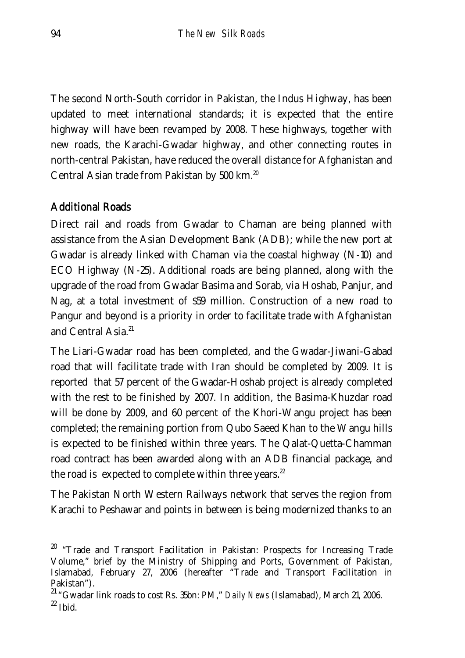The second North-South corridor in Pakistan, the Indus Highway, has been updated to meet international standards; it is expected that the entire highway will have been revamped by 2008. These highways, together with new roads, the Karachi-Gwadar highway, and other connecting routes in north-central Pakistan, have reduced the overall distance for Afghanistan and Central Asian trade from Pakistan by 500 km.<sup>20</sup>

## Additional Roads

Direct rail and roads from Gwadar to Chaman are being planned with assistance from the Asian Development Bank (ADB); while the new port at Gwadar is already linked with Chaman via the coastal highway (N-10) and ECO Highway (N-25). Additional roads are being planned, along with the upgrade of the road from Gwadar Basima and Sorab, via Hoshab, Panjur, and Nag, at a total investment of \$59 million. Construction of a new road to Pangur and beyond is a priority in order to facilitate trade with Afghanistan and Central Asia.<sup>21</sup>

The Liari-Gwadar road has been completed, and the Gwadar-Jiwani-Gabad road that will facilitate trade with Iran should be completed by 2009. It is reported that 57 percent of the Gwadar-Hoshab project is already completed with the rest to be finished by 2007. In addition, the Basima-Khuzdar road will be done by 2009, and 60 percent of the Khori-Wangu project has been completed; the remaining portion from Qubo Saeed Khan to the Wangu hills is expected to be finished within three years. The Qalat-Quetta-Chamman road contract has been awarded along with an ADB financial package, and the road is expected to complete within three years.<sup>22</sup>

The Pakistan North Western Railways network that serves the region from Karachi to Peshawar and points in between is being modernized thanks to an

<sup>&</sup>lt;sup>20</sup> "Trade and Transport Facilitation in Pakistan: Prospects for Increasing Trade Volume," brief by the Ministry of Shipping and Ports, Government of Pakistan, Islamabad, February 27, 2006 (hereafter "Trade and Transport Facilitation in Pakistan").

<sup>21 &</sup>quot;Gwadar link roads to cost Rs. 35bn: PM," *Daily News* (Islamabad), March 21, 2006.  $22$  Ibid.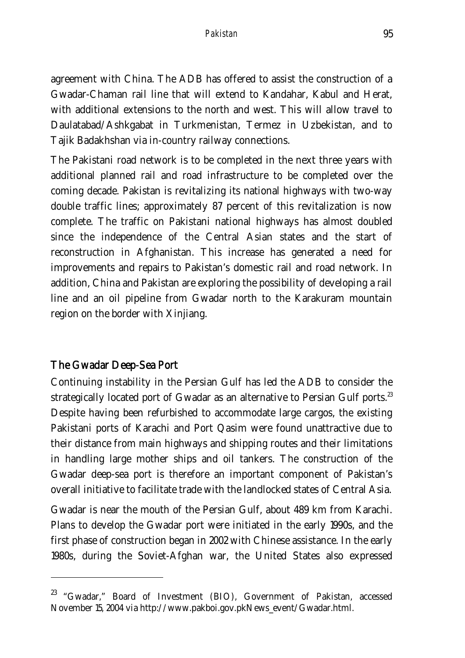agreement with China. The ADB has offered to assist the construction of a Gwadar-Chaman rail line that will extend to Kandahar, Kabul and Herat, with additional extensions to the north and west. This will allow travel to Daulatabad/Ashkgabat in Turkmenistan, Termez in Uzbekistan, and to Tajik Badakhshan via in-country railway connections.

The Pakistani road network is to be completed in the next three years with additional planned rail and road infrastructure to be completed over the coming decade. Pakistan is revitalizing its national highways with two-way double traffic lines; approximately 87 percent of this revitalization is now complete. The traffic on Pakistani national highways has almost doubled since the independence of the Central Asian states and the start of reconstruction in Afghanistan. This increase has generated a need for improvements and repairs to Pakistan's domestic rail and road network. In addition, China and Pakistan are exploring the possibility of developing a rail line and an oil pipeline from Gwadar north to the Karakuram mountain region on the border with Xinjiang.

#### The Gwadar Deep-Sea Port

 $\overline{a}$ 

Continuing instability in the Persian Gulf has led the ADB to consider the strategically located port of Gwadar as an alternative to Persian Gulf ports.<sup>23</sup> Despite having been refurbished to accommodate large cargos, the existing Pakistani ports of Karachi and Port Qasim were found unattractive due to their distance from main highways and shipping routes and their limitations in handling large mother ships and oil tankers. The construction of the Gwadar deep-sea port is therefore an important component of Pakistan's overall initiative to facilitate trade with the landlocked states of Central Asia.

Gwadar is near the mouth of the Persian Gulf, about 489 km from Karachi. Plans to develop the Gwadar port were initiated in the early 1990s, and the first phase of construction began in 2002 with Chinese assistance. In the early 1980s, during the Soviet-Afghan war, the United States also expressed

<sup>&</sup>lt;sup>23</sup> "Gwadar," Board of Investment (BIO), Government of Pakistan, accessed November 15, 2004 via http://www.pakboi.gov.pkNews\_event/Gwadar.html.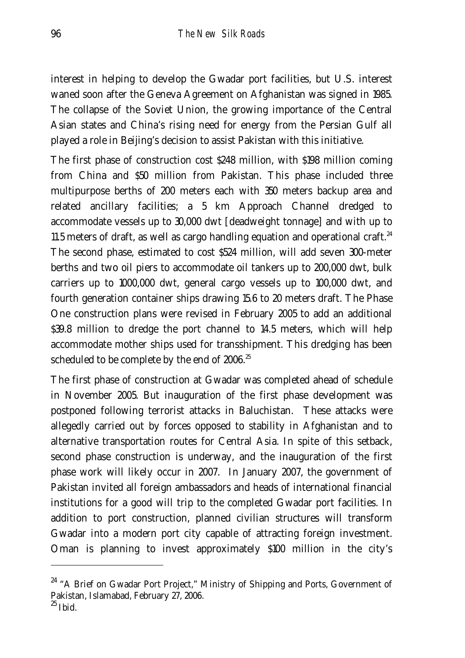interest in helping to develop the Gwadar port facilities, but U.S. interest waned soon after the Geneva Agreement on Afghanistan was signed in 1985. The collapse of the Soviet Union, the growing importance of the Central Asian states and China's rising need for energy from the Persian Gulf all played a role in Beijing's decision to assist Pakistan with this initiative.

The first phase of construction cost \$248 million, with \$198 million coming from China and \$50 million from Pakistan. This phase included three multipurpose berths of 200 meters each with 350 meters backup area and related ancillary facilities; a 5 km Approach Channel dredged to accommodate vessels up to 30,000 dwt [deadweight tonnage] and with up to 11.5 meters of draft, as well as cargo handling equation and operational craft. $^{24}$ The second phase, estimated to cost \$524 million, will add seven 300-meter berths and two oil piers to accommodate oil tankers up to 200,000 dwt, bulk carriers up to 1000,000 dwt, general cargo vessels up to 100,000 dwt, and fourth generation container ships drawing 15.6 to 20 meters draft. The Phase One construction plans were revised in February 2005 to add an additional \$39.8 million to dredge the port channel to 14.5 meters, which will help accommodate mother ships used for transshipment. This dredging has been scheduled to be complete by the end of 2006.<sup>25</sup>

The first phase of construction at Gwadar was completed ahead of schedule in November 2005. But inauguration of the first phase development was postponed following terrorist attacks in Baluchistan. These attacks were allegedly carried out by forces opposed to stability in Afghanistan and to alternative transportation routes for Central Asia. In spite of this setback, second phase construction is underway, and the inauguration of the first phase work will likely occur in 2007. In January 2007, the government of Pakistan invited all foreign ambassadors and heads of international financial institutions for a good will trip to the completed Gwadar port facilities. In addition to port construction, planned civilian structures will transform Gwadar into a modern port city capable of attracting foreign investment. Oman is planning to invest approximately \$100 million in the city's

<sup>&</sup>lt;sup>24</sup> "A Brief on Gwadar Port Project," Ministry of Shipping and Ports, Government of Pakistan, Islamabad, February 27, 2006.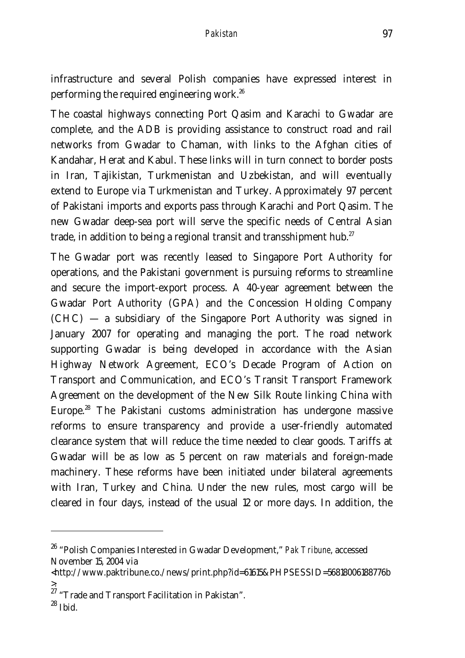infrastructure and several Polish companies have expressed interest in performing the required engineering work.<sup>26</sup>

The coastal highways connecting Port Qasim and Karachi to Gwadar are complete, and the ADB is providing assistance to construct road and rail networks from Gwadar to Chaman, with links to the Afghan cities of Kandahar, Herat and Kabul. These links will in turn connect to border posts in Iran, Tajikistan, Turkmenistan and Uzbekistan, and will eventually extend to Europe via Turkmenistan and Turkey. Approximately 97 percent of Pakistani imports and exports pass through Karachi and Port Qasim. The new Gwadar deep-sea port will serve the specific needs of Central Asian trade, in addition to being a regional transit and transshipment hub.<sup>27</sup>

The Gwadar port was recently leased to Singapore Port Authority for operations, and the Pakistani government is pursuing reforms to streamline and secure the import-export process. A 40-year agreement between the Gwadar Port Authority (GPA) and the Concession Holding Company (CHC) — a subsidiary of the Singapore Port Authority was signed in January 2007 for operating and managing the port. The road network supporting Gwadar is being developed in accordance with the Asian Highway Network Agreement, ECO's Decade Program of Action on Transport and Communication, and ECO's Transit Transport Framework Agreement on the development of the New Silk Route linking China with Europe.28 The Pakistani customs administration has undergone massive reforms to ensure transparency and provide a user-friendly automated clearance system that will reduce the time needed to clear goods. Tariffs at Gwadar will be as low as 5 percent on raw materials and foreign-made machinery. These reforms have been initiated under bilateral agreements with Iran, Turkey and China. Under the new rules, most cargo will be cleared in four days, instead of the usual 12 or more days. In addition, the

<sup>26 &</sup>quot;Polish Companies Interested in Gwadar Development," *Pak Tribune*, accessed November 15, 2004 via

<sup>&</sup>lt;http://www.paktribune.co./news/print.php?id=61615&PHPSESSID=56818006188776b >.

 $^{27}$  "Trade and Transport Facilitation in Pakistan".

<sup>28</sup> Ibid.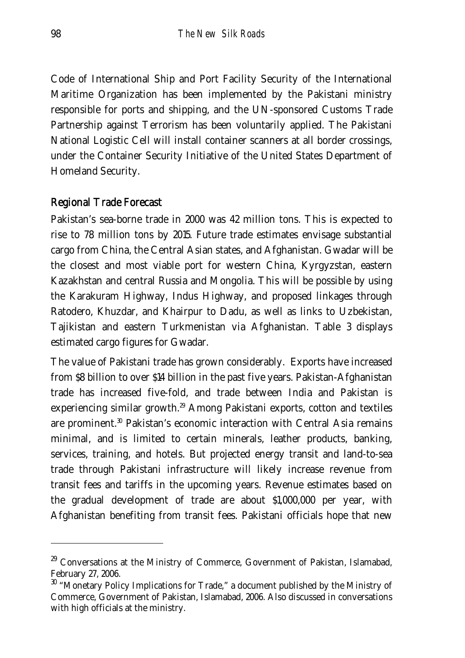Code of International Ship and Port Facility Security of the International Maritime Organization has been implemented by the Pakistani ministry responsible for ports and shipping, and the UN-sponsored Customs Trade Partnership against Terrorism has been voluntarily applied. The Pakistani National Logistic Cell will install container scanners at all border crossings, under the Container Security Initiative of the United States Department of Homeland Security.

#### Regional Trade Forecast

Pakistan's sea-borne trade in 2000 was 42 million tons. This is expected to rise to 78 million tons by 2015. Future trade estimates envisage substantial cargo from China, the Central Asian states, and Afghanistan. Gwadar will be the closest and most viable port for western China, Kyrgyzstan, eastern Kazakhstan and central Russia and Mongolia. This will be possible by using the Karakuram Highway, Indus Highway, and proposed linkages through Ratodero, Khuzdar, and Khairpur to Dadu, as well as links to Uzbekistan, Tajikistan and eastern Turkmenistan via Afghanistan. Table 3 displays estimated cargo figures for Gwadar.

The value of Pakistani trade has grown considerably. Exports have increased from \$8 billion to over \$14 billion in the past five years. Pakistan-Afghanistan trade has increased five-fold, and trade between India and Pakistan is experiencing similar growth.<sup>29</sup> Among Pakistani exports, cotton and textiles are prominent.<sup>30</sup> Pakistan's economic interaction with Central Asia remains minimal, and is limited to certain minerals, leather products, banking, services, training, and hotels. But projected energy transit and land-to-sea trade through Pakistani infrastructure will likely increase revenue from transit fees and tariffs in the upcoming years. Revenue estimates based on the gradual development of trade are about \$1,000,000 per year, with Afghanistan benefiting from transit fees. Pakistani officials hope that new

<sup>&</sup>lt;sup>29</sup> Conversations at the Ministry of Commerce, Government of Pakistan, Islamabad, February 27, 2006.

<sup>&</sup>lt;sup>30</sup> "Monetary Policy Implications for Trade," a document published by the Ministry of Commerce, Government of Pakistan, Islamabad, 2006. Also discussed in conversations with high officials at the ministry.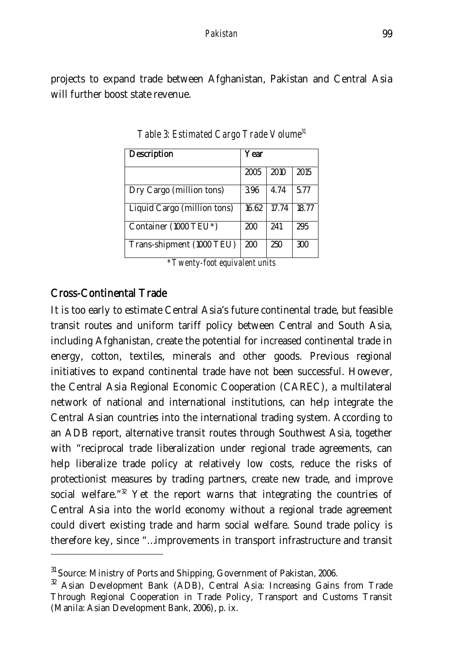projects to expand trade between Afghanistan, Pakistan and Central Asia will further boost state revenue.

| <b>Description</b>          | Year  |       |       |
|-----------------------------|-------|-------|-------|
|                             | 2005  | 2010  | 2015  |
| Dry Cargo (million tons)    | 3.96  | 4.74  | 5.77  |
| Liquid Cargo (million tons) | 16.62 | 17.74 | 18.77 |
| Container (1000 TEU*)       | 200   | 241   | 295   |
| Trans-shipment (1000 TEU)   | 200   | 250   | 300   |

*Table 3: Estimated Cargo Trade Volume31*

*\*Twenty-foot equivalent units* 

## Cross-Continental Trade

 $\overline{a}$ 

It is too early to estimate Central Asia's future continental trade, but feasible transit routes and uniform tariff policy between Central and South Asia, including Afghanistan, create the potential for increased continental trade in energy, cotton, textiles, minerals and other goods. Previous regional initiatives to expand continental trade have not been successful. However, the Central Asia Regional Economic Cooperation (CAREC), a multilateral network of national and international institutions, can help integrate the Central Asian countries into the international trading system. According to an ADB report, alternative transit routes through Southwest Asia, together with "reciprocal trade liberalization under regional trade agreements, can help liberalize trade policy at relatively low costs, reduce the risks of protectionist measures by trading partners, create new trade, and improve social welfare."<sup>32</sup> Yet the report warns that integrating the countries of Central Asia into the world economy without a regional trade agreement could divert existing trade and harm social welfare. Sound trade policy is therefore key, since "…improvements in transport infrastructure and transit

<sup>31</sup> Source: Ministry of Ports and Shipping, Government of Pakistan, 2006.

<sup>32</sup> Asian Development Bank (ADB), Central Asia: Increasing Gains from Trade Through Regional Cooperation in Trade Policy, Transport and Customs Transit (Manila: Asian Development Bank, 2006), p. ix.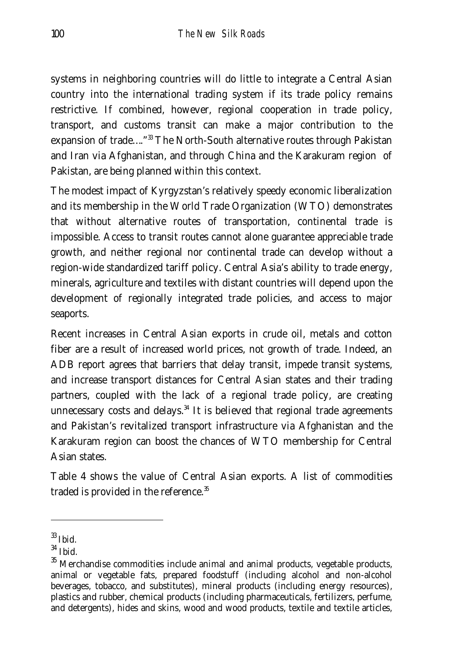systems in neighboring countries will do little to integrate a Central Asian country into the international trading system if its trade policy remains restrictive. If combined, however, regional cooperation in trade policy, transport, and customs transit can make a major contribution to the expansion of trade...."<sup>33</sup> The North-South alternative routes through Pakistan and Iran via Afghanistan, and through China and the Karakuram region of Pakistan, are being planned within this context.

The modest impact of Kyrgyzstan's relatively speedy economic liberalization and its membership in the World Trade Organization (WTO) demonstrates that without alternative routes of transportation, continental trade is impossible. Access to transit routes cannot alone guarantee appreciable trade growth, and neither regional nor continental trade can develop without a region-wide standardized tariff policy. Central Asia's ability to trade energy, minerals, agriculture and textiles with distant countries will depend upon the development of regionally integrated trade policies, and access to major seaports.

Recent increases in Central Asian exports in crude oil, metals and cotton fiber are a result of increased world prices, not growth of trade. Indeed, an ADB report agrees that barriers that delay transit, impede transit systems, and increase transport distances for Central Asian states and their trading partners, coupled with the lack of a regional trade policy, are creating unnecessary costs and delays. $34$  It is believed that regional trade agreements and Pakistan's revitalized transport infrastructure via Afghanistan and the Karakuram region can boost the chances of WTO membership for Central Asian states.

Table 4 shows the value of Central Asian exports. A list of commodities traded is provided in the reference.<sup>35</sup>

 $33$  Ibid.

 $34$  Ibid.

 $35$  Merchandise commodities include animal and animal products, vegetable products, animal or vegetable fats, prepared foodstuff (including alcohol and non-alcohol beverages, tobacco, and substitutes), mineral products (including energy resources), plastics and rubber, chemical products (including pharmaceuticals, fertilizers, perfume, and detergents), hides and skins, wood and wood products, textile and textile articles,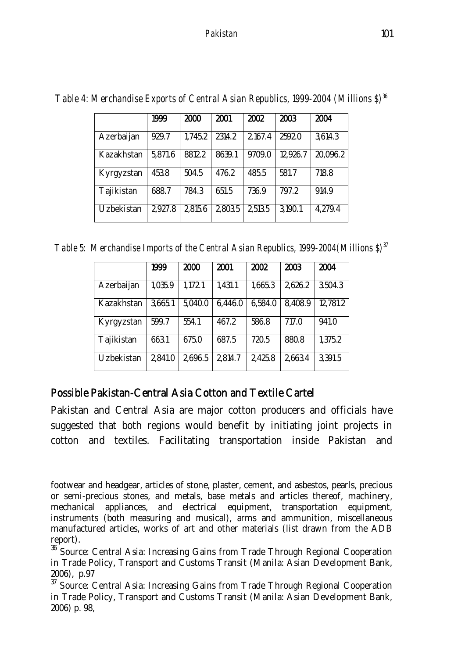|            | 1999    | 2000    | 2001    | 2002    | 2003     | 2004     |
|------------|---------|---------|---------|---------|----------|----------|
| Azerbaijan | 929.7   | 1,745.2 | 2314.2  | 2.167.4 | 2592.0   | 3,614.3  |
| Kazakhstan | 5,871.6 | 8812.2  | 8639.1  | 9709.0  | 12,926.7 | 20,096.2 |
| Kyrgyzstan | 453.8   | 504.5   | 476.2   | 485.5   | 581.7    | 718.8    |
| Tajikistan | 688.7   | 784.3   | 651.5   | 736.9   | 797.2    | 914.9    |
| Uzbekistan | 2,927.8 | 2,815.6 | 2,803.5 | 2,513.5 | 3,190.1  | 4,279.4  |

*Table 4: Merchandise Exports of Central Asian Republics, 1999-2004 (Millions*  $\mathcal{S}^{\mathcal{Y}^g}$ *)* 

*Table 5: Merchandise Imports of the Central Asian Republics, 1999-2004 (Millions*  $\delta$ *)*<sup>37</sup>

|            | 1999    | 2000    | 2001    | 2002    | 2003    | 2004     |
|------------|---------|---------|---------|---------|---------|----------|
| Azerbaijan | 1,035.9 | 1,172.1 | 1,431.1 | 1,665.3 | 2,626.2 | 3.504.3  |
| Kazakhstan | 3,665.1 | 5,040.0 | 6,446.0 | 6,584.0 | 8,408.9 | 12,781.2 |
| Kyrgyzstan | 599.7   | 554.1   | 467.2   | 586.8   | 717.0   | 941.0    |
| Tajikistan | 663.1   | 675.0   | 687.5   | 720.5   | 880.8   | 1,375.2  |
| Uzbekistan | 2,841.0 | 2,696.5 | 2,814.7 | 2,425.8 | 2,663.4 | 3,391.5  |

# Possible Pakistan-Central Asia Cotton and Textile Cartel

 $\overline{a}$ 

Pakistan and Central Asia are major cotton producers and officials have suggested that both regions would benefit by initiating joint projects in cotton and textiles. Facilitating transportation inside Pakistan and

footwear and headgear, articles of stone, plaster, cement, and asbestos, pearls, precious or semi-precious stones, and metals, base metals and articles thereof, machinery, mechanical appliances, and electrical equipment, transportation equipment, instruments (both measuring and musical), arms and ammunition, miscellaneous manufactured articles, works of art and other materials (list drawn from the ADB report).

<sup>&</sup>lt;sup>36</sup> Source: Central Asia: Increasing Gains from Trade Through Regional Cooperation in Trade Policy, Transport and Customs Transit (Manila: Asian Development Bank, 2006), p.97

<sup>&</sup>lt;sup>37</sup> Source: Central Asia: Increasing Gains from Trade Through Regional Cooperation in Trade Policy, Transport and Customs Transit (Manila: Asian Development Bank, 2006) p. 98,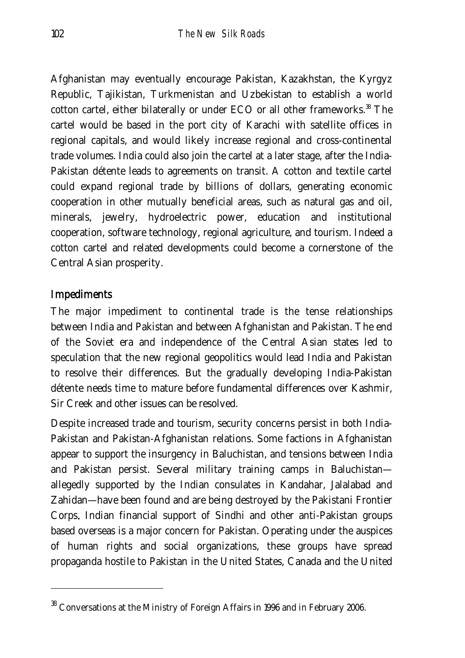Afghanistan may eventually encourage Pakistan, Kazakhstan, the Kyrgyz Republic, Tajikistan, Turkmenistan and Uzbekistan to establish a world cotton cartel, either bilaterally or under ECO or all other frameworks.<sup>38</sup> The cartel would be based in the port city of Karachi with satellite offices in regional capitals, and would likely increase regional and cross-continental trade volumes. India could also join the cartel at a later stage, after the India-Pakistan détente leads to agreements on transit. A cotton and textile cartel could expand regional trade by billions of dollars, generating economic cooperation in other mutually beneficial areas, such as natural gas and oil, minerals, jewelry, hydroelectric power, education and institutional cooperation, software technology, regional agriculture, and tourism. Indeed a cotton cartel and related developments could become a cornerstone of the Central Asian prosperity.

#### Impediments

 $\overline{a}$ 

The major impediment to continental trade is the tense relationships between India and Pakistan and between Afghanistan and Pakistan. The end of the Soviet era and independence of the Central Asian states led to speculation that the new regional geopolitics would lead India and Pakistan to resolve their differences. But the gradually developing India-Pakistan détente needs time to mature before fundamental differences over Kashmir, Sir Creek and other issues can be resolved.

Despite increased trade and tourism, security concerns persist in both India-Pakistan and Pakistan-Afghanistan relations. Some factions in Afghanistan appear to support the insurgency in Baluchistan, and tensions between India and Pakistan persist. Several military training camps in Baluchistan allegedly supported by the Indian consulates in Kandahar, Jalalabad and Zahidan—have been found and are being destroyed by the Pakistani Frontier Corps. Indian financial support of Sindhi and other anti-Pakistan groups based overseas is a major concern for Pakistan. Operating under the auspices of human rights and social organizations, these groups have spread propaganda hostile to Pakistan in the United States, Canada and the United

<sup>38</sup> Conversations at the Ministry of Foreign Affairs in 1996 and in February 2006.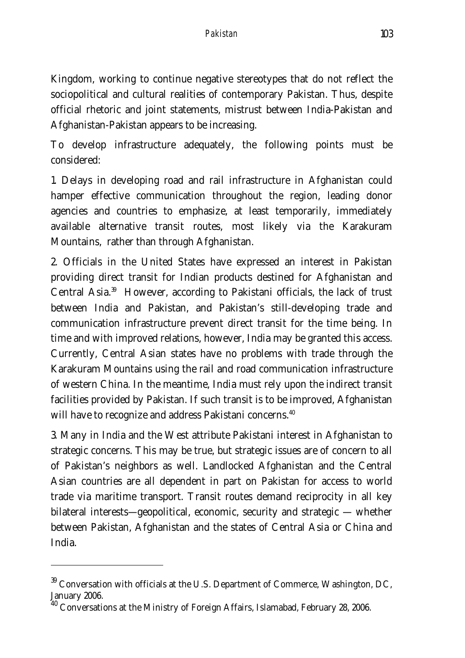Kingdom, working to continue negative stereotypes that do not reflect the sociopolitical and cultural realities of contemporary Pakistan. Thus, despite official rhetoric and joint statements, mistrust between India-Pakistan and Afghanistan-Pakistan appears to be increasing.

To develop infrastructure adequately, the following points must be considered:

1. Delays in developing road and rail infrastructure in Afghanistan could hamper effective communication throughout the region, leading donor agencies and countries to emphasize, at least temporarily, immediately available alternative transit routes, most likely via the Karakuram Mountains, rather than through Afghanistan.

2. Officials in the United States have expressed an interest in Pakistan providing direct transit for Indian products destined for Afghanistan and Central Asia.<sup>39</sup> However, according to Pakistani officials, the lack of trust between India and Pakistan, and Pakistan's still-developing trade and communication infrastructure prevent direct transit for the time being. In time and with improved relations, however, India may be granted this access. Currently, Central Asian states have no problems with trade through the Karakuram Mountains using the rail and road communication infrastructure of western China. In the meantime, India must rely upon the indirect transit facilities provided by Pakistan. If such transit is to be improved, Afghanistan will have to recognize and address Pakistani concerns.<sup>40</sup>

3. Many in India and the West attribute Pakistani interest in Afghanistan to strategic concerns. This may be true, but strategic issues are of concern to all of Pakistan's neighbors as well. Landlocked Afghanistan and the Central Asian countries are all dependent in part on Pakistan for access to world trade via maritime transport. Transit routes demand reciprocity in all key bilateral interests—geopolitical, economic, security and strategic — whether between Pakistan, Afghanistan and the states of Central Asia or China and India.

 $39$  Conversation with officials at the U.S. Department of Commerce, Washington, DC, January 2006.

<sup>&</sup>lt;sup>40</sup> Conversations at the Ministry of Foreign Affairs, Islamabad, February 28, 2006.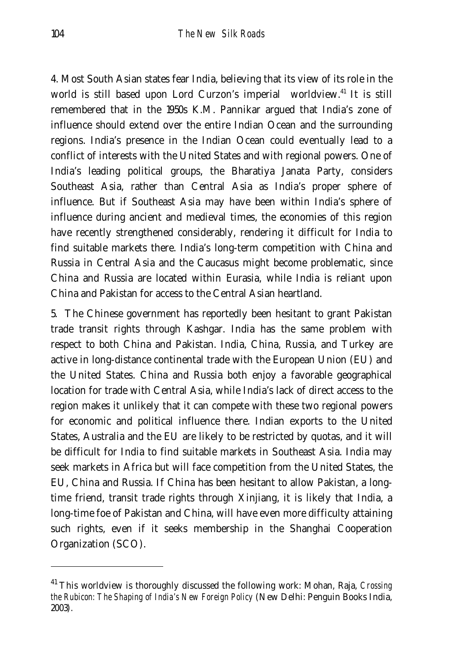4. Most South Asian states fear India, believing that its view of its role in the world is still based upon Lord Curzon's imperial worldview.<sup>41</sup> It is still remembered that in the 1950s K.M. Pannikar argued that India's zone of influence should extend over the entire Indian Ocean and the surrounding regions. India's presence in the Indian Ocean could eventually lead to a conflict of interests with the United States and with regional powers. One of India's leading political groups, the Bharatiya Janata Party, considers Southeast Asia, rather than Central Asia as India's proper sphere of influence. But if Southeast Asia may have been within India's sphere of influence during ancient and medieval times, the economies of this region have recently strengthened considerably, rendering it difficult for India to find suitable markets there. India's long-term competition with China and Russia in Central Asia and the Caucasus might become problematic, since China and Russia are located within Eurasia, while India is reliant upon China and Pakistan for access to the Central Asian heartland.

5. The Chinese government has reportedly been hesitant to grant Pakistan trade transit rights through Kashgar. India has the same problem with respect to both China and Pakistan. India, China, Russia, and Turkey are active in long-distance continental trade with the European Union (EU) and the United States. China and Russia both enjoy a favorable geographical location for trade with Central Asia, while India's lack of direct access to the region makes it unlikely that it can compete with these two regional powers for economic and political influence there. Indian exports to the United States, Australia and the EU are likely to be restricted by quotas, and it will be difficult for India to find suitable markets in Southeast Asia. India may seek markets in Africa but will face competition from the United States, the EU, China and Russia. If China has been hesitant to allow Pakistan, a longtime friend, transit trade rights through Xinjiang, it is likely that India, a long-time foe of Pakistan and China, will have even more difficulty attaining such rights, even if it seeks membership in the Shanghai Cooperation Organization (SCO).

<sup>41</sup> This worldview is thoroughly discussed the following work: Mohan, Raja, *Crossing the Rubicon: The Shaping of India's New Foreign Policy* (New Delhi: Penguin Books India, 2003).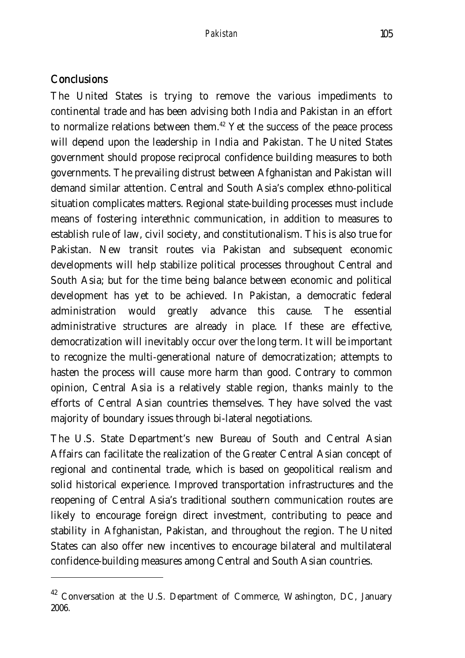## **Conclusions**

 $\overline{a}$ 

The United States is trying to remove the various impediments to continental trade and has been advising both India and Pakistan in an effort to normalize relations between them. $42$  Yet the success of the peace process will depend upon the leadership in India and Pakistan. The United States government should propose reciprocal confidence building measures to both governments. The prevailing distrust between Afghanistan and Pakistan will demand similar attention. Central and South Asia's complex ethno-political situation complicates matters. Regional state-building processes must include means of fostering interethnic communication, in addition to measures to establish rule of law, civil society, and constitutionalism. This is also true for Pakistan. New transit routes via Pakistan and subsequent economic developments will help stabilize political processes throughout Central and South Asia; but for the time being balance between economic and political development has yet to be achieved. In Pakistan, a democratic federal administration would greatly advance this cause. The essential administrative structures are already in place. If these are effective, democratization will inevitably occur over the long term. It will be important to recognize the multi-generational nature of democratization; attempts to hasten the process will cause more harm than good. Contrary to common opinion, Central Asia is a relatively stable region, thanks mainly to the efforts of Central Asian countries themselves. They have solved the vast majority of boundary issues through bi-lateral negotiations.

The U.S. State Department's new Bureau of South and Central Asian Affairs can facilitate the realization of the Greater Central Asian concept of regional and continental trade, which is based on geopolitical realism and solid historical experience. Improved transportation infrastructures and the reopening of Central Asia's traditional southern communication routes are likely to encourage foreign direct investment, contributing to peace and stability in Afghanistan, Pakistan, and throughout the region. The United States can also offer new incentives to encourage bilateral and multilateral confidence-building measures among Central and South Asian countries.

<sup>&</sup>lt;sup>42</sup> Conversation at the U.S. Department of Commerce, Washington, DC, January 2006.